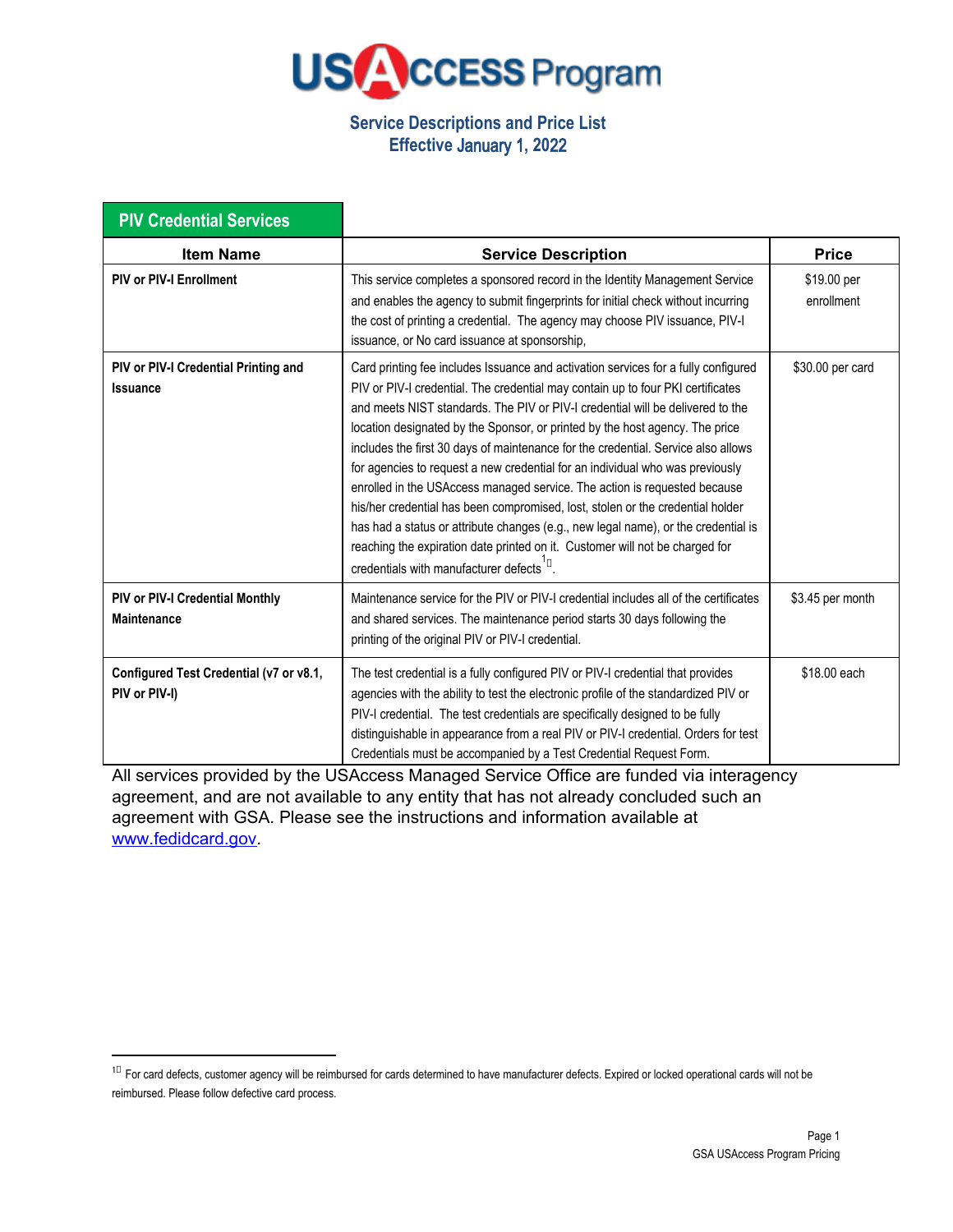

## **Service Descriptions and Price List Effective** January 1**, 20**22

| <b>PIV Credential Services</b>                           |                                                                                                                                                                                                                                                                                                                                                                                                                                                                                                                                                                                                                                                                                                                                                                                                                                                                                                |                           |
|----------------------------------------------------------|------------------------------------------------------------------------------------------------------------------------------------------------------------------------------------------------------------------------------------------------------------------------------------------------------------------------------------------------------------------------------------------------------------------------------------------------------------------------------------------------------------------------------------------------------------------------------------------------------------------------------------------------------------------------------------------------------------------------------------------------------------------------------------------------------------------------------------------------------------------------------------------------|---------------------------|
| <b>Item Name</b>                                         | <b>Service Description</b>                                                                                                                                                                                                                                                                                                                                                                                                                                                                                                                                                                                                                                                                                                                                                                                                                                                                     | <b>Price</b>              |
| <b>PIV or PIV-I Enrollment</b>                           | This service completes a sponsored record in the Identity Management Service<br>and enables the agency to submit fingerprints for initial check without incurring<br>the cost of printing a credential. The agency may choose PIV issuance, PIV-I<br>issuance, or No card issuance at sponsorship,                                                                                                                                                                                                                                                                                                                                                                                                                                                                                                                                                                                             | \$19.00 per<br>enrollment |
| PIV or PIV-I Credential Printing and<br><b>Issuance</b>  | Card printing fee includes Issuance and activation services for a fully configured<br>PIV or PIV-I credential. The credential may contain up to four PKI certificates<br>and meets NIST standards. The PIV or PIV-I credential will be delivered to the<br>location designated by the Sponsor, or printed by the host agency. The price<br>includes the first 30 days of maintenance for the credential. Service also allows<br>for agencies to request a new credential for an individual who was previously<br>enrolled in the USAccess managed service. The action is requested because<br>his/her credential has been compromised, lost, stolen or the credential holder<br>has had a status or attribute changes (e.g., new legal name), or the credential is<br>reaching the expiration date printed on it. Customer will not be charged for<br>credentials with manufacturer defects D. | \$30.00 per card          |
| PIV or PIV-I Credential Monthly<br><b>Maintenance</b>    | Maintenance service for the PIV or PIV-I credential includes all of the certificates<br>and shared services. The maintenance period starts 30 days following the<br>printing of the original PIV or PIV-I credential.                                                                                                                                                                                                                                                                                                                                                                                                                                                                                                                                                                                                                                                                          | \$3.45 per month          |
| Configured Test Credential (v7 or v8.1,<br>PIV or PIV-I) | The test credential is a fully configured PIV or PIV-I credential that provides<br>agencies with the ability to test the electronic profile of the standardized PIV or<br>PIV-I credential. The test credentials are specifically designed to be fully<br>distinguishable in appearance from a real PIV or PIV-I credential. Orders for test<br>Credentials must be accompanied by a Test Credential Request Form.                                                                                                                                                                                                                                                                                                                                                                                                                                                                             | \$18.00 each              |

All services provided by the USAccess Managed Service Office are funded via interagency agreement, and are not available to any entity that has not already concluded such an agreement with GSA. Please see the instructions and information available at [www.fedidcard.gov.](http://www.fedidcard.gov/)

 $10$  For card defects, customer agency will be reimbursed for cards determined to have manufacturer defects. Expired or locked operational cards will not be reimbursed. Please follow defective card process.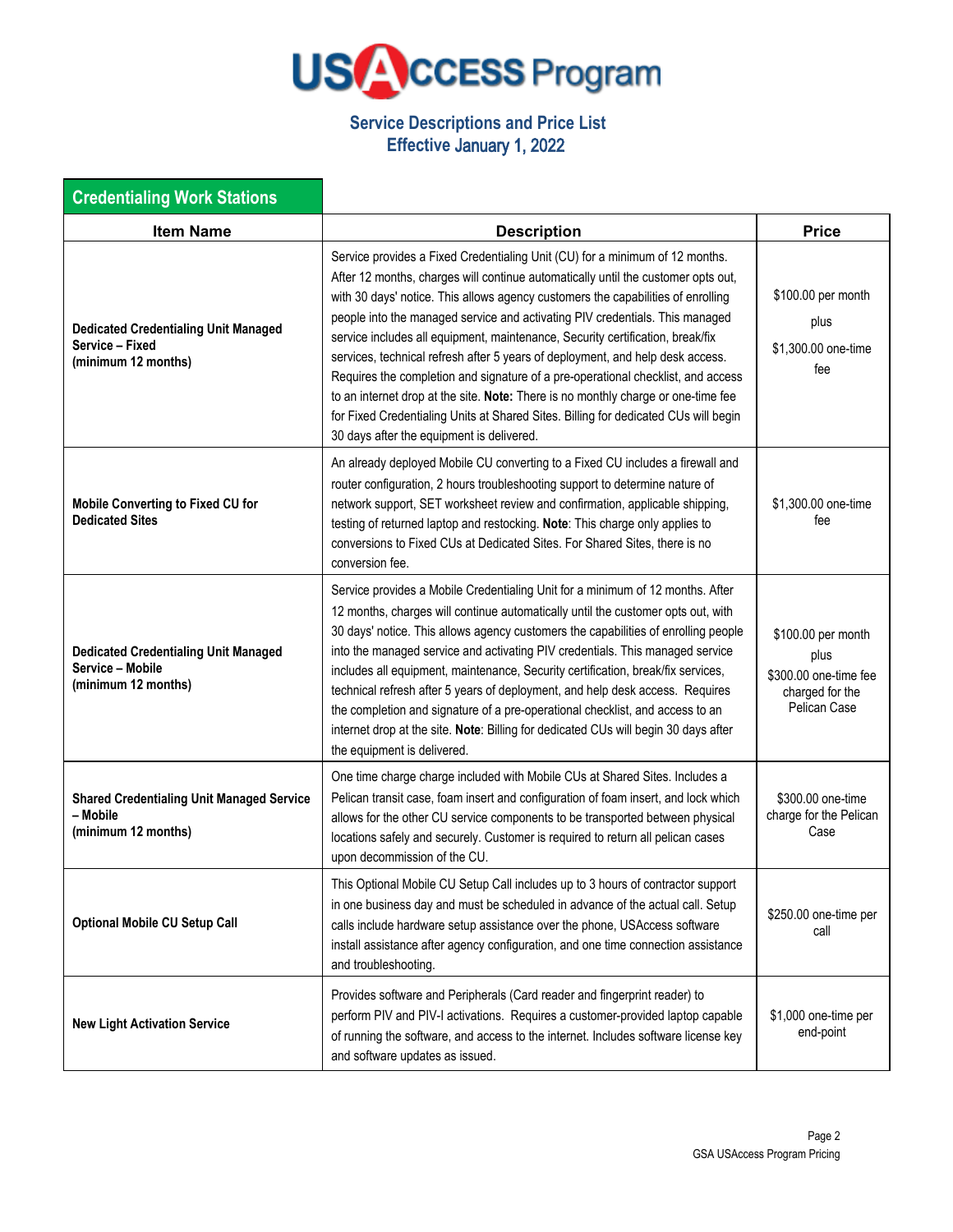

## **Service Descriptions and Price List Effective** January 1, 2022

| <b>Credentialing Work Stations</b>                                                     |                                                                                                                                                                                                                                                                                                                                                                                                                                                                                                                                                                                                                                                                                                                                                                                                                        |                                                                                        |
|----------------------------------------------------------------------------------------|------------------------------------------------------------------------------------------------------------------------------------------------------------------------------------------------------------------------------------------------------------------------------------------------------------------------------------------------------------------------------------------------------------------------------------------------------------------------------------------------------------------------------------------------------------------------------------------------------------------------------------------------------------------------------------------------------------------------------------------------------------------------------------------------------------------------|----------------------------------------------------------------------------------------|
| <b>Item Name</b>                                                                       | <b>Description</b>                                                                                                                                                                                                                                                                                                                                                                                                                                                                                                                                                                                                                                                                                                                                                                                                     | <b>Price</b>                                                                           |
| <b>Dedicated Credentialing Unit Managed</b><br>Service - Fixed<br>(minimum 12 months)  | Service provides a Fixed Credentialing Unit (CU) for a minimum of 12 months.<br>After 12 months, charges will continue automatically until the customer opts out,<br>with 30 days' notice. This allows agency customers the capabilities of enrolling<br>people into the managed service and activating PIV credentials. This managed<br>service includes all equipment, maintenance, Security certification, break/fix<br>services, technical refresh after 5 years of deployment, and help desk access.<br>Requires the completion and signature of a pre-operational checklist, and access<br>to an internet drop at the site. Note: There is no monthly charge or one-time fee<br>for Fixed Credentialing Units at Shared Sites. Billing for dedicated CUs will begin<br>30 days after the equipment is delivered. | \$100.00 per month<br>plus<br>\$1,300.00 one-time<br>fee                               |
| <b>Mobile Converting to Fixed CU for</b><br><b>Dedicated Sites</b>                     | An already deployed Mobile CU converting to a Fixed CU includes a firewall and<br>router configuration, 2 hours troubleshooting support to determine nature of<br>network support, SET worksheet review and confirmation, applicable shipping,<br>testing of returned laptop and restocking. Note: This charge only applies to<br>conversions to Fixed CUs at Dedicated Sites. For Shared Sites, there is no<br>conversion fee.                                                                                                                                                                                                                                                                                                                                                                                        | \$1,300.00 one-time<br>fee                                                             |
| <b>Dedicated Credentialing Unit Managed</b><br>Service - Mobile<br>(minimum 12 months) | Service provides a Mobile Credentialing Unit for a minimum of 12 months. After<br>12 months, charges will continue automatically until the customer opts out, with<br>30 days' notice. This allows agency customers the capabilities of enrolling people<br>into the managed service and activating PIV credentials. This managed service<br>includes all equipment, maintenance, Security certification, break/fix services,<br>technical refresh after 5 years of deployment, and help desk access. Requires<br>the completion and signature of a pre-operational checklist, and access to an<br>internet drop at the site. Note: Billing for dedicated CUs will begin 30 days after<br>the equipment is delivered.                                                                                                  | \$100.00 per month<br>plus<br>\$300.00 one-time fee<br>charged for the<br>Pelican Case |
| <b>Shared Credentialing Unit Managed Service</b><br>- Mobile<br>(minimum 12 months)    | One time charge charge included with Mobile CUs at Shared Sites. Includes a<br>Pelican transit case, foam insert and configuration of foam insert, and lock which<br>allows for the other CU service components to be transported between physical<br>locations safely and securely. Customer is required to return all pelican cases<br>upon decommission of the CU.                                                                                                                                                                                                                                                                                                                                                                                                                                                  | \$300.00 one-time<br>charge for the Pelican<br>Case                                    |
| <b>Optional Mobile CU Setup Call</b>                                                   | This Optional Mobile CU Setup Call includes up to 3 hours of contractor support<br>in one business day and must be scheduled in advance of the actual call. Setup<br>calls include hardware setup assistance over the phone, USAccess software<br>install assistance after agency configuration, and one time connection assistance<br>and troubleshooting.                                                                                                                                                                                                                                                                                                                                                                                                                                                            | \$250.00 one-time per<br>call                                                          |
| <b>New Light Activation Service</b>                                                    | Provides software and Peripherals (Card reader and fingerprint reader) to<br>perform PIV and PIV-I activations. Requires a customer-provided laptop capable<br>of running the software, and access to the internet. Includes software license key<br>and software updates as issued.                                                                                                                                                                                                                                                                                                                                                                                                                                                                                                                                   | \$1,000 one-time per<br>end-point                                                      |